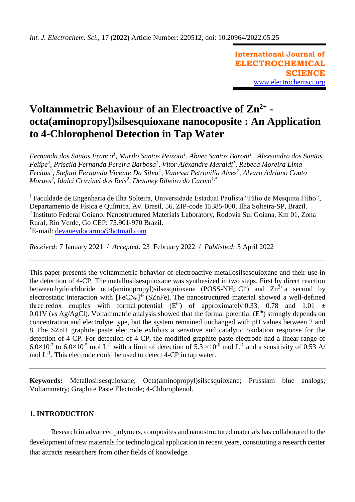**International Journal of ELECTROCHEMICAL SCIENCE** [www.electrochemsci.org](http://www.electrochemsci.org/)

# **Voltammetric Behaviour of an Electroactive of Zn2+ octa(aminopropyl)silsesquioxane nanocoposite : An Application to 4-Chlorophenol Detection in Tap Water**

*Fernanda dos Santos Franco<sup>1</sup> , Murilo Santos Peixoto<sup>1</sup> , Abner Santos Baroni<sup>1</sup> , Alexsandro dos Santos Felipe<sup>2</sup> , Priscila Fernanda Pereira Barbosa<sup>1</sup> , Vitor Alexandre Maraldi<sup>1</sup> , Rebeca Moreira Lima Freitas<sup>2</sup> , Stefani Fernanda Vicente Da Silva<sup>1</sup> , Vanessa Petronília Alves<sup>2</sup> , Alvaro Adriano Couto Moraes<sup>2</sup> , Idalci Cruvinel dos Reis<sup>2</sup> , Devaney Ribeiro do Carmo1,\**

<sup>1</sup> Faculdade de Engenharia de Ilha Solteira, Universidade Estadual Paulista "Júlio de Mesquita Filho", Departamento de Física e Química, Av. Brasil, 56, ZIP-code 15385-000, Ilha Solteira-SP, Brazil. <sup>2</sup> Instituto Federal Goiano. Nanostructured Materials Laboratory, Rodovia Sul Goiana, Km 01, Zona Rural, Rio Verde, Go CEP: 75.901-970 Brazil. \*E-mail: [devaneydocarmo@hotmail.com](mailto:devaneydocarmo@hotmail.com)

*Received:* 7 January 2021/ *Accepted:* 23 February 2022 / *Published:* 5 April 2022

This paper presents the voltammetric behavior of electroactive metallosilsesquioxane and their use in the detection of 4-CP. The metallosilsesquioxane was synthesized in two steps. First by direct reaction between hydrochloride octa(aminopropyl)silsesquioxane (POSS-NH<sub>3</sub><sup>+</sup>Cl<sup>-</sup>) and  $Zn^{2+}$  a second by electrostatic interaction with  $[FeCN<sub>6</sub>]<sup>4</sup>$  (SZnFe). The nanostructured material showed a well-defined three redox couples with formal potential  $(E^{\theta})$  of approximately 0.33, 0.78 and 1.01  $\pm$  $0.01V$  (*vs* Ag/AgCl). Voltammetric analysis showed that the formal potential ( $E^{\theta}$ ) strongly depends on concentration and electrolyte type, but the system remained unchanged with pH values between 2 and 8. The SZnH graphite paste electrode exhibits a sensitive and catalytic oxidation response for the detection of 4-CP. For detection of 4-CP, the modified graphite paste electrode had a linear range of  $6.0\times10^{-7}$  to  $6.0\times10^{-5}$  mol L<sup>-1</sup> with a limit of detection of 5.3  $\times10^{-6}$  mol L<sup>-1</sup> and a sensitivity of 0.53 A/ mol  $L^{-1}$ . This electrode could be used to detect 4-CP in tap water.

**Keywords:** Metallosilsesquioxane; Octa(aminopropyl)silsesquioxane; Prussiam blue analogs; Voltammetry; Graphite Paste Electrode; 4-Chlorophenol.

# **1. INTRODUCTION**

Research in advanced polymers, composites and nanostructured materials has collaborated to the development of new materials for technological application in recent years, constituting a research center that attracts researchers from other fields of knowledge.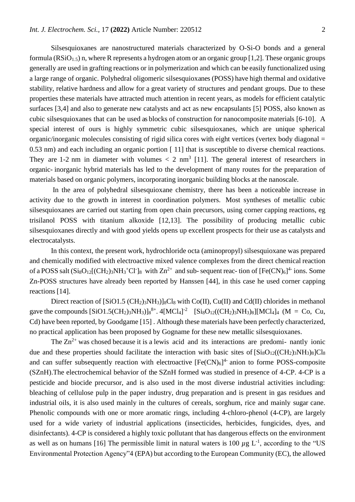Silsesquioxanes are nanostructured materials characterized by O-Si-O bonds and a general formula ( $RSiO<sub>1.5</sub>$ ) n, where R represents a hydrogen atom or an organic group [1,2]. These organic groups generally are used in grafting reactions or in polymerization and which can be easily functionalized using a large range of organic. Polyhedral oligomeric silsesquioxanes (POSS) have high thermal and oxidative stability, relative hardness and allow for a great variety of structures and pendant groups. Due to these properties these materials have attracted much attention in recent years, as models for efficient catalytic surfaces [3,4] and also to generate new catalysts and act as new encapsulants [5] POSS, also known as cubic silsesquioxanes that can be used as blocks of construction for nanocomposite materials [6-10]. A special interest of ours is highly symmetric cubic silsesquioxanes, which are unique spherical organic/inorganic molecules consisting of rigid silica cores with eight vertices (vertex body diagonal = 0.53 nm) and each including an organic portion [ 11] that is susceptible to diverse chemical reactions. They are 1-2 nm in diameter with volumes  $\langle 2 \text{ nm}^3 \space$  [11]. The general interest of researchers in organic- inorganic hybrid materials has led to the development of many routes for the preparation of materials based on organic polymers, incorporating inorganic building blocks at the nanoscale.

In the area of polyhedral silsesquioxane chemistry, there has been a noticeable increase in activity due to the growth in interest in coordination polymers. Most syntheses of metallic cubic silsesquioxanes are carried out starting from open chain precursors, using corner capping reactions, eg trisilanol POSS with titanium alkoxide [12,13]. The possibility of producing metallic cubic silsesquioxanes directly and with good yields opens up excellent prospects for their use as catalysts and electrocatalysts.

In this context, the present work, hydrochloride octa (aminopropyl) silsesquioxane was prepared and chemically modified with electroactive mixed valence complexes from the direct chemical reaction of a POSS salt  $(Si_8O_{12}[(CH_2)_3NH_3+C1]_8$  with  $Zn^{2+}$  and sub-sequent reac- tion of  $[Fe(CN)_6]^{4-}$  ions. Some Zn-POSS structures have already been reported by Hanssen [44], in this case he used corner capping reactions [14].

Direct reaction of  $[SiO1.5 (CH<sub>2</sub>)<sub>3</sub>NH<sub>3</sub>)|<sub>8</sub>Cl<sub>8</sub>$  with Co(II), Cu(II) and Cd(II) chlorides in methanol gave the compounds  $[SiO1.5(CH_2)_{3}NH_3]_{8}^{8+}$ .  $4[MCl_4]^{2}$   $[Si_8O_{12}((CH_2)_{3}NH_3)_{8}][MCl_4]_{4}$  (M = Co, Cu, Cd) have been reported, by Goodgame [15] . Although these materials have been perfectly characterized, no practical application has been proposed by Gogname for these new metallic silsesquioxanes.

The  $\text{Zn}^{2+}$  was chosed because it is a lewis acid and its interactions are predomi- nantly ionic due and these properties should facilitate the interaction with basic sites of  $[Si_8O_{12}((CH_2)_3NH_3)_8]Cl_8$ and can suffer subsequently reaction with electroactive  $[Fe(CN)_6]^4$  anion to forme POSS-composite (SZnH).The electrochemical behavior of the SZnH formed was studied in presence of 4-CP. 4-CP is a pesticide and biocide precursor, and is also used in the most diverse industrial activities including: bleaching of cellulose pulp in the paper industry, drug preparation and is present in gas residues and industrial oils, it is also used mainly in the cultures of cereals, sorghum, rice and mainly sugar cane. Phenolic compounds with one or more aromatic rings, including 4-chloro-phenol (4-CP), are largely used for a wide variety of industrial applications (insecticides, herbicides, fungicides, dyes, and disinfectants). 4-CP is considered a highly toxic pollutant that has dangerous effects on the environment as well as on humans [16] The permissible limit in natural waters is 100  $\mu$ g L<sup>-1</sup>, according to the "US Environmental Protection Agency"4 (EPA) but according to the European Community (EC), the allowed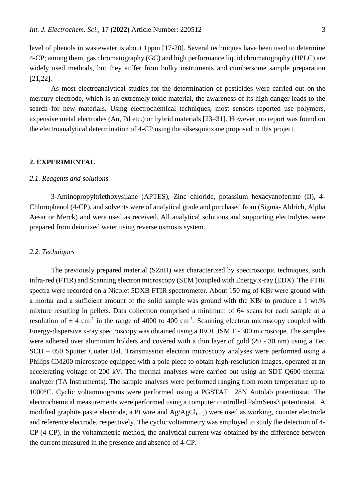level of phenols in wastewater is about 1ppm [17-20]. Several techniques have been used to determine 4-CP; among them, gas chromatography (GC) and high performance liquid chromatography (HPLC) are widely used methods, but they suffer from bulky instruments and cumbersome sample preparation [21,22].

As most electroanalytical studies for the determination of pesticides were carried out on the mercury electrode, which is an extremely toxic material, the awareness of its high danger leads to the search for new materials. Using electrochemical techniques, most sensors reported use polymers, expensive metal electrodes (Au, Pd etc.) or hybrid materials [23–31]. However, no report was found on the electroanalytical determination of 4-CP using the silsesquioxane proposed in this project.

#### **2. EXPERIMENTAL**

#### *2.1. Reagents and solutions*

3-Aminopropyltriethoxysilane (APTES), Zinc chloride, potassium hexacyanoferrate (II), 4- Chlorophenol (4-CP), and solvents were of analytical grade and purchased from (Sigma- Aldrich, Alpha Aesar or Merck) and were used as received. All analytical solutions and supporting electrolytes were prepared from deionized water using reverse osmosis system.

### *2.2. Techniques*

The previously prepared material (SZnH) was characterized by spectroscopic techniques, such infra-red (FTIR) and Scanning electron microscopy (SEM )coupled with Energy x-ray (EDX). The FTIR spectra were recorded on a Nicolet 5DXB FTIR spectrometer. About 150 mg of KBr were ground with a mortar and a sufficient amount of the solid sample was ground with the KBr to produce a 1 wt.% mixture resulting in pellets. Data collection comprised a minimum of 64 scans for each sample at a resolution of  $\pm$  4 cm<sup>-1</sup> in the range of 4000 to 400 cm<sup>-1</sup>. Scanning electron microscopy coupled with Energy-dispersive x-ray spectroscopy was obtained using a JEOL JSM T - 300 microscope. The samples were adhered over aluminum holders and covered with a thin layer of gold (20 - 30 nm) using a Tec SCD – 050 Sputter Coater Bal. Transmission electron microscopy analyses were performed using a Philips CM200 microscope equipped with a pole piece to obtain high-resolution images, operated at an accelerating voltage of 200 kV. The thermal analyses were carried out using an SDT Q600 thermal analyzer (TA Instruments). The sample analyses were performed ranging from room temperature up to 1000°C. Cyclic voltammograms were performed using a PGSTAT 128N Autolab potentiostat. The electrochemical measurements were performed using a computer controlled PalmSens3 potentiostat. A modified graphite paste electrode, a Pt wire and  $Ag/AgCl<sub>(sat)</sub>$ ) were used as working, counter electrode and reference electrode, respectively. The cyclic voltammetry was employed to study the detection of 4- CP (4-CP). In the voltammetric method, the analytical current was obtained by the difference between the current measured in the presence and absence of 4-CP.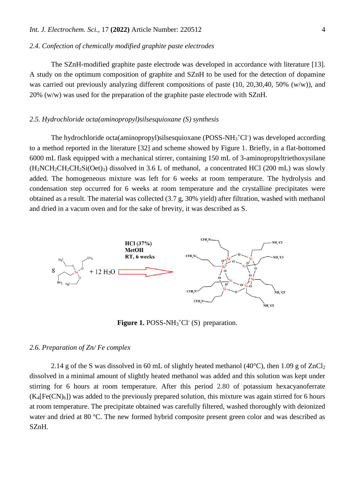#### *2.4. Confection of chemically modified graphite paste electrodes*

The SZnH-modified graphite paste electrode was developed in accordance with literature [13]. A study on the optimum composition of graphite and SZnH to be used for the detection of dopamine was carried out previously analyzing different compositions of paste (10, 20,30,40, 50% (w/w)), and 20% (w/w) was used for the preparation of the graphite paste electrode with SZnH.

#### *2.5. Hydrochloride octa(aminopropyl)silsesquioxane (S) synthesis*

The hydrochloride octa(aminopropyl)silsesquioxane (POSS-NH<sub>3</sub><sup>+</sup>Cl<sup>-</sup>) was developed according to a method reported in the literature [32] and scheme showed by Figure 1. Briefly, in a flat-bottomed 6000 mL flask equipped with a mechanical stirrer, containing 150 mL of 3-aminopropyltriethoxysilane  $(H_2NCH_2CH_2CH_2Si(Oet)_3)$  dissolved in 3.6 L of methanol, a concentrated HCl (200 mL) was slowly added. The homogeneous mixture was left for 6 weeks at room temperature. The hydrolysis and condensation step occurred for 6 weeks at room temperature and the crystalline precipitates were obtained as a result. The material was collected (3.7 g, 30% yield) after filtration, washed with methanol and dried in a vacum oven and for the sake of brevity, it was described as S.



Figure 1. POSS-NH<sub>3</sub><sup>+</sup>Cl<sup>-</sup> (S) preparation.

#### *2.6. Preparation of Zn/ Fe complex*

2.14 g of the S was dissolved in 60 mL of slightly heated methanol (40 $^{\circ}$ C), then 1.09 g of ZnCl<sub>2</sub> dissolved in a minimal amount of slightly heated methanol was added and this solution was kept under stirring for 6 hours at room temperature. After this period 2.80 of potassium hexacyanoferrate  $(K_4[Fe(CN)_6])$  was added to the previously prepared solution, this mixture was again stirred for 6 hours at room temperature. The precipitate obtained was carefully filtered, washed thoroughly with deionized water and dried at 80 °C. The new formed hybrid composite present green color and was described as SZnH.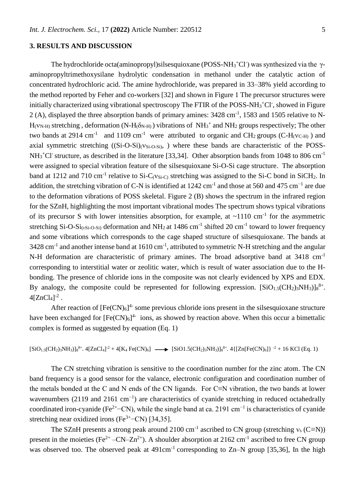## **3. RESULTS AND DISCUSSION**

The hydrochloride octa(aminopropyl)silsesquioxane (POSS-NH<sub>3</sub><sup>+</sup>Cl<sup>-</sup>) was synthesized via the  $\gamma$ aminopropyltrimethoxysilane hydrolytic condensation in methanol under the catalytic action of concentrated hydrochloric acid. The amine hydrochloride, was prepared in 33–38% yield according to the method reported by Feher and co-workers [32] and shown in Figure 1 The precursor structures were initially characterized using vibrational spectroscopy The FTIR of the POSS-NH $_3$ <sup>+</sup>Cl<sup>-</sup>, showed in Figure 2 (A), displayed the three absorption bands of primary amines: 3428 cm<sup>-1</sup>, 1583 and 1505 relative to N- $H_{(V_{N-H})}$  stretching, deformation (N-H $(\delta_{N-H})$ ) vibrations of NH<sub>3</sub><sup>+</sup> and NH<sub>2</sub> groups respectively; The other two bands at 2914 cm<sup>-1</sup> and 1109 cm<sup>-1</sup> were attributed to organic and CH<sub>2</sub> groups (C-H<sub>(VC-H)</sub>) and axial symmetric stretching  $((Si-O-Si)<sub>(VSi-O-Si)</sub>)$ , where these bands are characteristic of the POSS- $NH<sub>3</sub><sup>+</sup>Cl<sup>-</sup>$  structure, as described in the literature [33,34]. Other absorption bands from 1048 to 806 cm<sup>-1</sup> were assigned to special vibration feature of the silsesquioxane Si-O-Si cage structure. The absorption band at 1212 and 710 cm<sup>-1</sup> relative to Si-C<sub>(VSi-C)</sub> stretching was assigned to the Si-C bond in SiCH<sub>2</sub>. In addition, the stretching vibration of C-N is identified at 1242 cm<sup>-1</sup> and those at 560 and 475 cm<sup>-1</sup> are due to the deformation vibrations of POSS skeletal. Figure 2 (B) shows the spectrum in the infrared region for the SZnH, highlighting the most important vibrational modes The spectrum shows typical vibrations of its precursor S with lower intensities absorption, for example, at  $\sim$ 1110 cm<sup>-1</sup> for the asymmetric stretching Si-O-Si $_{(vSi-O-Si)}$  deformation and NH<sub>2</sub> at 1486 cm<sup>-1</sup> shifted 20 cm<sup>-1</sup> toward to lower frequency and some vibrations which corresponds to the cage shaped structure of silsesquioxane. The bands at  $3428 \text{ cm}^{-1}$  and another intense band at  $1610 \text{ cm}^{-1}$ , attributed to symmetric N-H stretching and the angular N-H deformation are characteristic of primary amines. The broad adsorptive band at 3418 cm<sup>-1</sup> corresponding to interstitial water or zeolitic water, which is result of water association due to the Hbonding. The presence of chloride ions in the composite was not clearly evidenced by XPS and EDX. By analogy, the composite could be represented for following expression.  $[SiO<sub>1.5</sub>(CH<sub>2</sub>)<sub>3</sub>NH<sub>3</sub>]<sub>8</sub><sup>8+</sup>$ .  $4$ [ZnCl<sub>4</sub>]<sup>-2</sup>.

After reaction of  $[Fe(CN)_6]^4$  some previous chloride ions present in the silsesquioxane structure have been exchanged for  $[Fe(CN)_6]^4$  ions, as showed by reaction above. When this occur a bimettalic complex is formed as suggested by equation (Eq. 1)

$$
[SiO_{1.5}(CH_2)_3NH_3)]_8^{8+}.\ 4[ZnCl_4]^{2}+4[K_4\ Fe(CN)_6]\ \longrightarrow\ [SiO1.5(CH_2)_3NH_3)]_8^{8+}.\ 4\{[Zn[Fe(CN)_6]\}\ ^2+16\ KCl\ (Eq.\ 1)_8^{8+}.\ 4\{[O(1)_4]^{8+}.\ 4\}^{8+}.\ 4\{[O(1)_4]^{8+}.\ 4\{[O(1)_4]^{8+}.\ 4\}^{8+}.\ 4\{[O(1)_4]^{8+}.\ 4\{[O(1)_4]^{8+}.\ 4\}^{8+}.\ 4\{[O(1)_4]^{8+}.\ 4\{[O(1)_4]^{8+}.\ 4\}^{8+}.\ 4\{[O(1)_4]^{8+}.\ 4\{[O(1)_4]^{8+}.\ 4\}^{8+}.\ 4\{[O(1)_4]^{8+}.\ 4\{[O(1)_4]^{8+}.\ 4\}^{8+}.\ 4\{[O(1)_4]^{8+}.\ 4\{[O(1)_4]^{8+}.\ 4\}^{8+}.\ 4\{[O(1)_4]^{8+}.\ 4\{[O(1)_4]^{8+}.\ 4\}^{8+}.\ 4\{[O(1)_4]^{8+}.\ 4\{[O(1)_4]^{8+}.\ 4\}^{8+}.\ 4\{[O(1)_4]^{8+}.\ 4\{[O(1)_4]^{8+}.\ 4\}^{8+}.\ 4\{[O(1)_4]^{8+}.\ 4\{[O(1)_4]^{8+}.\ 4\{[O(1)_4]^{8+}.\ 4\}^{8+}.\ 4\{[O(1)_4]^{8+}.\ 4\{[O(1)_4]^{8+}.\ 4\{[O(1)_4]^{8+}.\ 4\{[O(1)_4]^{8+}.\ 4\}^{8+}.\ 4\{[O(1)_4]^{8+}.\ 4\{[O(1)_4]^{8+}.\ 4\{[O(1)_4]^{8+}.\ 4\{[O(1)_4]^{8+}.\ 4\{[O(1)_4]^{8+}.\ 4\}^{8+}.\ 4\{[O(1)_4]^{8+}.\ 4\{[O(1)_4]^{8+}.\ 4\{[O
$$

The CN stretching vibration is sensitive to the coordination number for the zinc atom. The CN band frequency is a good sensor for the valance, electronic configuration and coordination number of the metals bonded at the C and N ends of the CN ligands. For C≡N vibration, the two bands at lower wavenumbers (2119 and 2161 cm<sup>-1</sup>) are characteristics of cyanide stretching in reduced octahedrally coordinated iron-cyanide (Fe<sup>2+</sup>−CN), while the single band at ca. 2191 cm<sup>-1</sup> is characteristics of cyanide stretching near oxidized irons ( $Fe^{3+}-CN$ ) [34,35].

The SZnH presents a strong peak around 2100 cm<sup>-1</sup> ascribed to CN group (stretching  $v_s$  (C≡N)) present in the moieties (Fe<sup>2+</sup> -CN-Zn<sup>2+</sup>). A shoulder absorption at 2162 cm<sup>-1</sup> ascribed to free CN group was observed too. The observed peak at  $491 \text{cm}^{-1}$  corresponding to Zn–N group [35,36]. In the high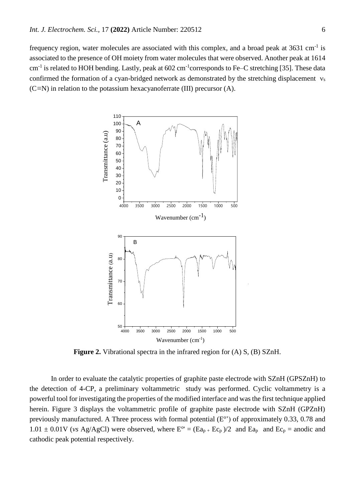frequency region, water molecules are associated with this complex, and a broad peak at  $3631 \text{ cm}^{-1}$  is associated to the presence of OH moiety from water molecules that were observed. Another peak at 1614 cm<sup>-1</sup> is related to HOH bending. Lastly, peak at 602 cm<sup>-1</sup>corresponds to Fe–C stretching [35]. These data confirmed the formation of a cyan-bridged network as demonstrated by the stretching displacement  $v_s$ (C*≡*N) in relation to the potassium hexacyanoferrate (III) precursor (A).



**Figure 2.** Vibrational spectra in the infrared region for (A) S, (B) SZnH.

In order to evaluate the catalytic properties of graphite paste electrode with SZnH (GPSZnH) to the detection of 4-CP, a preliminary voltammetric study was performed. Cyclic voltammetry is a powerful tool for investigating the properties of the modified interface and was the first technique applied herein. Figure 3 displays the voltammetric profile of graphite paste electrode with SZnH (GPZnH) previously manufactured. A Three process with formal potential  $(E^{\circ})$  of approximately 0.33, 0.78 and  $1.01 \pm 0.01$ V (*vs* Ag/AgCl) were observed, where  $E^{\circ} = (Ea_{p} + Ec_{p})/2$  and  $Ea_{p}$  and  $Ec_{p} =$  anodic and cathodic peak potential respectively.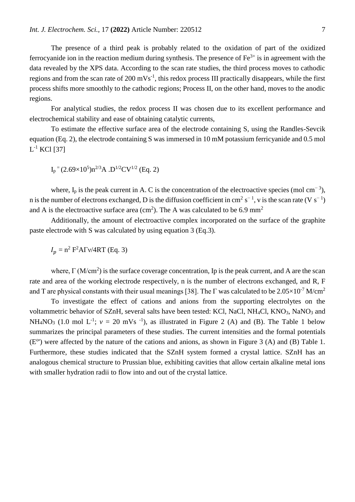The presence of a third peak is probably related to the oxidation of part of the oxidized ferrocyanide ion in the reaction medium during synthesis. The presence of  $Fe^{3+}$  is in agreement with the data revealed by the XPS data. According to the scan rate studies, the third process moves to cathodic regions and from the scan rate of  $200 \text{ mVs}^{-1}$ , this redox process III practically disappears, while the first process shifts more smoothly to the cathodic regions; Process II, on the other hand, moves to the anodic regions.

For analytical studies, the redox process II was chosen due to its excellent performance and electrochemical stability and ease of obtaining catalytic currents,

To estimate the effective surface area of the electrode containing S, using the Randles-Sevcik equation (Eq. 2), the electrode containing S was immersed in 10 mM potassium ferricyanide and 0.5 mol  $\mathrm{L}^{1}$  KCl [37]

$$
I_p = (2.69 \times 10^5) n^{2/3} A . D^{1/2} CV^{1/2}
$$
 (Eq. 2)

where,  $I_p$  is the peak current in A. C is the concentration of the electroactive species (mol cm<sup>-3</sup>), n is the number of electrons exchanged, D is the diffusion coefficient in cm<sup>2</sup> s<sup>-1</sup>, v is the scan rate (V s<sup>-1</sup>) and A is the electroactive surface area (cm<sup>2</sup>). The A was calculated to be 6.9 mm<sup>2</sup>

Additionally, the amount of electroactive complex incorporated on the surface of the graphite paste electrode with S was calculated by using equation 3 (Eq.3).

 $I_p = n^2 F^2 A \Gamma v / 4RT$  (Eq. 3)

where,  $\Gamma(M/cm^2)$  is the surface coverage concentration, Ip is the peak current, and A are the scan rate and area of the working electrode respectively, n is the number of electrons exchanged, and R, F and T are physical constants with their usual meanings [38]. The  $\Gamma$  was calculated to be 2.05×10<sup>-7</sup> M/cm<sup>2</sup>

To investigate the effect of cations and anions from the supporting electrolytes on the voltammetric behavior of SZnH, several salts have been tested: KCl, NaCl, NH4Cl, KNO3, NaNO<sup>3</sup> and NH<sub>4</sub>NO<sub>3</sub> (1.0 mol L<sup>-1</sup>;  $v = 20$  mVs <sup>-1</sup>), as illustrated in Figure 2 (A) and (B). The Table 1 below summarizes the principal parameters of these studies. The current intensities and the formal potentials (E<sup>o</sup>) were affected by the nature of the cations and anions, as shown in Figure 3 (A) and (B) Table 1. Furthermore, these studies indicated that the SZnH system formed a crystal lattice. SZnH has an analogous chemical structure to Prussian blue, exhibiting cavities that allow certain alkaline metal ions with smaller hydration radii to flow into and out of the crystal lattice.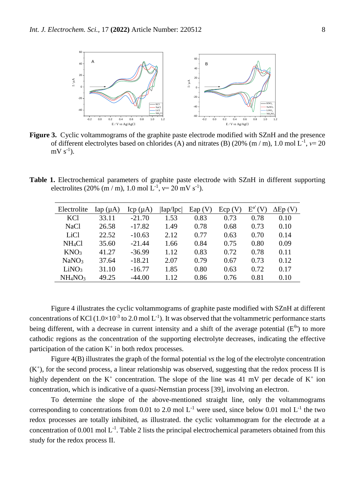

**Figure 3.** Cyclic voltammograms of the graphite paste electrode modified with SZnH and the presence of different electrolytes based on chlorides (A) and nitrates (B) (20% (m / m), 1.0 mol L-1 , *ν*= 20  $mV s^{-1}$ ).

**Table 1.** Electrochemical parameters of graphite paste electrode with SZnH in different supporting electrolites (20% (m / m), 1.0 mol L<sup>-1</sup>,  $v=20$  mV s<sup>-1</sup>).

| Electrolite                     | $\text{Iap}(\mu A)$ | $Icp(\mu A)$ | Iap/Ipc | Eap(V) | $Ecp$ (V | $\mathrm{E}^\mathrm{e}$ | $\Delta$ Ep (V) |
|---------------------------------|---------------------|--------------|---------|--------|----------|-------------------------|-----------------|
| KCl                             | 33.11               | $-21.70$     | 1.53    | 0.83   | 0.73     | 0.78                    | 0.10            |
| NaCl                            | 26.58               | $-17.82$     | 1.49    | 0.78   | 0.68     | 0.73                    | 0.10            |
| LiCl                            | 22.52               | $-10.63$     | 2.12    | 0.77   | 0.63     | 0.70                    | 0.14            |
| NH <sub>4</sub> Cl              | 35.60               | $-21.44$     | 1.66    | 0.84   | 0.75     | 0.80                    | 0.09            |
| KNO <sub>3</sub>                | 41.27               | $-36.99$     | 1.12    | 0.83   | 0.72     | 0.78                    | 0.11            |
| NaNO <sub>3</sub>               | 37.64               | $-18.21$     | 2.07    | 0.79   | 0.67     | 0.73                    | 0.12            |
| LiNO <sub>3</sub>               | 31.10               | $-16.77$     | 1.85    | 0.80   | 0.63     | 0.72                    | 0.17            |
| NH <sub>4</sub> NO <sub>3</sub> | 49.25               | $-44.00$     | 1.12    | 0.86   | 0.76     | 0.81                    | 0.10            |

Figure 4 illustrates the cyclic voltammograms of graphite paste modified with SZnH at different concentrations of KCl  $(1.0\times10^{-3}$  to 2.0 mol L<sup>-1</sup>). It was observed that the voltammetric performance starts being different, with a decrease in current intensity and a shift of the average potential  $(E^{\theta})$  to more cathodic regions as the concentration of the supporting electrolyte decreases, indicating the effective participation of the cation  $K^+$  in both redox processes.

Figure 4(B) illustrates the graph of the formal potential *vs* the log of the electrolyte concentration  $(K<sup>+</sup>)$ , for the second process, a linear relationship was observed, suggesting that the redox process II is highly dependent on the  $K^+$  concentration. The slope of the line was 41 mV per decade of  $K^+$  ion concentration, which is indicative of a *quasi*-Nernstian process [39], involving an electron.

To determine the slope of the above-mentioned straight line, only the voltammograms corresponding to concentrations from 0.01 to 2.0 mol  $L^{-1}$  were used, since below 0.01 mol  $L^{-1}$  the two redox processes are totally inhibited, as illustrated. the cyclic voltammogram for the electrode at a concentration of 0.001 mol  $L^{-1}$ . Table 2 lists the principal electrochemical parameters obtained from this study for the redox process II.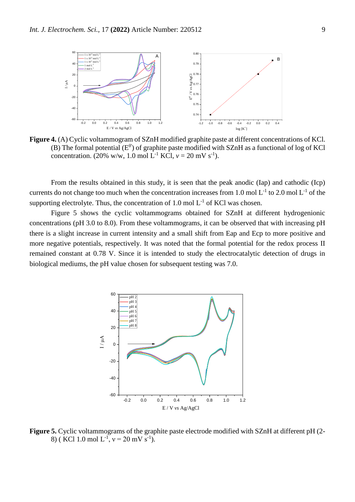

**Figure 4.** (A) Cyclic voltammogram of SZnH modified graphite paste at different concentrations of KCl. (B) The formal potential ( $E^{\theta'}$ ) of graphite paste modified with SZnH as a functional of log of KCl concentration. (20% w/w, 1.0 mol L<sup>-1</sup> KCl,  $v = 20$  mV s<sup>-1</sup>).

From the results obtained in this study, it is seen that the peak anodic (Iap) and cathodic (Icp) currents do not change too much when the concentration increases from 1.0 mol  $L^{-1}$  to 2.0 mol  $L^{-1}$  of the supporting electrolyte. Thus, the concentration of 1.0 mol  $L^{-1}$  of KCl was chosen.

Figure 5 shows the cyclic voltammograms obtained for SZnH at different hydrogenionic concentrations (pH 3.0 to 8.0). From these voltammograms, it can be observed that with increasing pH there is a slight increase in current intensity and a small shift from Eap and Ecp to more positive and more negative potentials, respectively. It was noted that the formal potential for the redox process II remained constant at 0.78 V. Since it is intended to study the electrocatalytic detection of drugs in biological mediums, the pH value chosen for subsequent testing was 7.0.



**Figure 5.** Cyclic voltammograms of the graphite paste electrode modified with SZnH at different pH (2- 8) (KCl 1.0 mol L<sup>-1</sup>,  $v = 20$  mV s<sup>-1</sup>).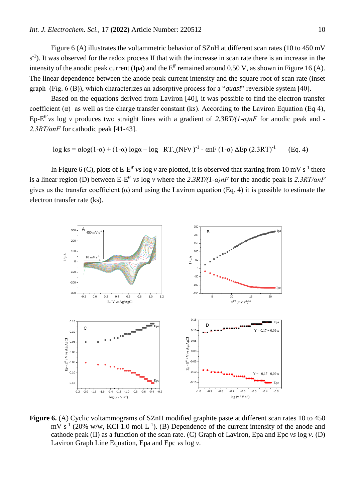Figure 6 (A) illustrates the voltammetric behavior of SZnH at different scan rates (10 to 450 mV s<sup>-1</sup>). It was observed for the redox process II that with the increase in scan rate there is an increase in the intensity of the anodic peak current (Ipa) and the  $E^{\theta'}$  remained around 0.50 V, as shown in Figure 16 (A). The linear dependence between the anode peak current intensity and the square root of scan rate (inset graph (Fig. 6 (B)), which characterizes an adsorptive process for a "*quasi*" reversible system [40].

Based on the equations derived from Laviron [40], it was possible to find the electron transfer coefficient ( $\alpha$ ) as well as the charge transfer constant (ks). According to the Laviron Equation (Eq 4), Ep-E θ'*vs* log *v* produces two straight lines with a gradient of *2.3RT/(1-α)nF* for anodic peak and *- 2.3RT/αnF* for cathodic peak [41-43].

$$
\log ks = \alpha \log(1-\alpha) + (1-\alpha) \log \alpha - \log RT \cdot (NFv)^{-1} - \alpha nF (1-\alpha) \Delta Ep (2.3RT)^{-1}
$$
 (Eq. 4)

In Figure 6 (C), plots of  $E-E^{\theta'}$  *vs* log *v* are plotted, it is observed that starting from 10 mV s<sup>-1</sup> there is a linear region (D) between E-E θ' *vs* log *v* where the *2.3RT/(1-α)nF* for the anodic peak is *2.3RT/αnF* gives us the transfer coefficient ( $\alpha$ ) and using the Laviron equation (Eq. 4) it is possible to estimate the electron transfer rate (ks).



**Figure 6.** (A) Cyclic voltammograms of SZnH modified graphite paste at different scan rates 10 to 450 mV s<sup>-1</sup> (20% w/w, KCl 1.0 mol L<sup>-1</sup>). (B) Dependence of the current intensity of the anode and cathode peak (II) as a function of the scan rate. (C) Graph of Laviron, Epa and Epc *vs* log *v*. (D) Laviron Graph Line Equation, Epa and Epc *vs* log *v*.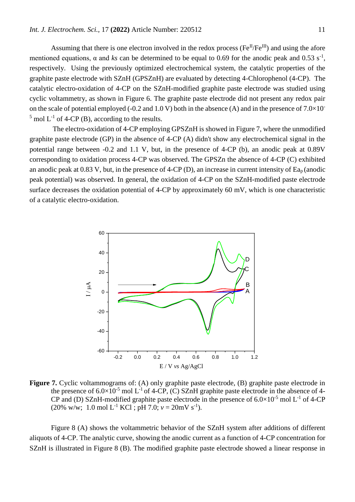Assuming that there is one electron involved in the redox process ( $Fe^{II}/Fe^{III}$ ) and using the afore mentioned equations,  $\alpha$  and *ks* can be determined to be equal to 0.69 for the anodic peak and 0.53 s<sup>-1</sup>, respectively. Using the previously optimized electrochemical system, the catalytic properties of the graphite paste electrode with SZnH (GPSZnH) are evaluated by detecting 4-Chlorophenol (4-CP). The catalytic electro-oxidation of 4-CP on the SZnH-modified graphite paste electrode was studied using cyclic voltammetry, as shown in Figure 6. The graphite paste electrode did not present any redox pair on the scale of potential employed (-0.2 and 1.0 V) both in the absence (A) and in the presence of  $7.0\times10^{-1}$  $<sup>5</sup>$  mol L<sup>-1</sup> of 4-CP (B), according to the results.</sup>

The electro-oxidation of 4-CP employing GPSZnH is showed in Figure 7, where the unmodified graphite paste electrode (GP) in the absence of 4-CP (A) didn't show any electrochemical signal in the potential range between -0.2 and 1.1 V, but, in the presence of 4-CP (b), an anodic peak at 0.89V corresponding to oxidation process 4-CP was observed. The GPSZn the absence of 4-CP (C) exhibited an anodic peak at 0.83 V, but, in the presence of 4-CP (D), an increase in current intensity of  $\text{Ea}_{\text{p}}$  (anodic peak potential) was observed. In general, the oxidation of 4-CP on the SZnH-modified paste electrode surface decreases the oxidation potential of 4-CP by approximately 60 mV, which is one characteristic of a catalytic electro-oxidation.



Figure 7. Cyclic voltammograms of: (A) only graphite paste electrode, (B) graphite paste electrode in the presence of  $6.0\times10^{-5}$  mol L<sup>-1</sup> of 4-CP, (C) SZnH graphite paste electrode in the absence of 4-CP and (D) SZnH-modified graphite paste electrode in the presence of  $6.0 \times 10^{-5}$  mol L<sup>-1</sup> of 4-CP  $(20\% \text{ w/w}; 1.0 \text{ mol L}^{-1} \text{ KCl}; \text{pH } 7.0; v = 20 \text{mV s}^{-1}).$ 

Figure 8 (A) shows the voltammetric behavior of the SZnH system after additions of different aliquots of 4-CP. The analytic curve, showing the anodic current as a function of 4-CP concentration for SZnH is illustrated in Figure 8 (B). The modified graphite paste electrode showed a linear response in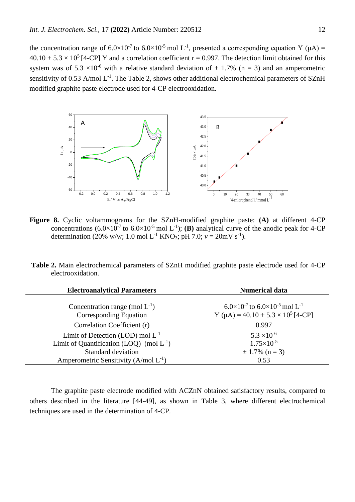the concentration range of  $6.0 \times 10^{-7}$  to  $6.0 \times 10^{-5}$  mol L<sup>-1</sup>, presented a corresponding equation Y ( $\mu$ A) =  $40.10 + 5.3 \times 10^5$  [4-CP] Y and a correlation coefficient r = 0.997. The detection limit obtained for this system was of 5.3  $\times$ 10<sup>-6</sup> with a relative standard deviation of  $\pm$  1.7% (n = 3) and an amperometric sensitivity of 0.53 A/mol  $L^{-1}$ . The Table 2, shows other additional electrochemical parameters of SZnH modified graphite paste electrode used for 4-CP electrooxidation.



**Figure 8.** Cyclic voltammograms for the SZnH-modified graphite paste: **(A)** at different 4-CP concentrations  $(6.0 \times 10^{-7}$  to  $6.0 \times 10^{-5}$  mol L<sup>-1</sup>); **(B)** analytical curve of the anodic peak for 4-CP determination (20% w/w; 1.0 mol L<sup>-1</sup> KNO<sub>3</sub>; pH 7.0;  $v = 20$ mV s<sup>-1</sup>).

**Table 2.** Main electrochemical parameters of SZnH modified graphite paste electrode used for 4-CP electrooxidation.

| <b>Electroanalytical Parameters</b>                           | <b>Numerical data</b>                                                                                               |
|---------------------------------------------------------------|---------------------------------------------------------------------------------------------------------------------|
| Concentration range (mol $L^{-1}$ )<br>Corresponding Equation | $6.0\times10^{-7}$ to $6.0\times10^{-5}$ mol L <sup>-1</sup><br>Y ( $\mu$ A) = 40.10 + 5.3 × 10 <sup>5</sup> [4-CP] |
| Correlation Coefficient (r)                                   | 0.997                                                                                                               |
| Limit of Detection (LOD) mol $L^{-1}$                         | $5.3 \times 10^{-6}$                                                                                                |
| Limit of Quantification (LOQ) (mol $L^{-1}$ )                 | $1.75\times10^{-5}$                                                                                                 |
| <b>Standard deviation</b>                                     | $\pm$ 1.7% (n = 3)                                                                                                  |
| Amperometric Sensitivity (A/mol $L^{-1}$ )                    | 0.53                                                                                                                |

The graphite paste electrode modified with ACZnN obtained satisfactory results, compared to others described in the literature [44-49], as shown in Table 3, where different electrochemical techniques are used in the determination of 4-CP.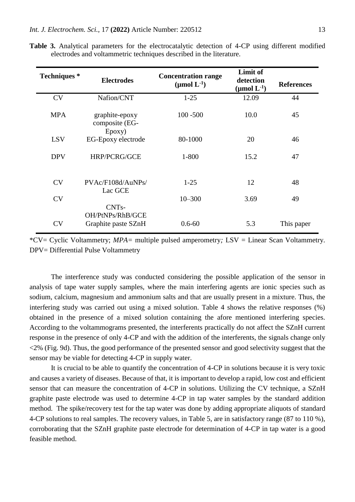| <b>Techniques</b> * | <b>Electrodes</b>                                             | <b>Concentration range</b><br>( $\mu$ mol $L^{-1}$ ) | Limit of<br>detection<br>(µmol $L^{-1}$ ) | <b>References</b> |
|---------------------|---------------------------------------------------------------|------------------------------------------------------|-------------------------------------------|-------------------|
| <b>CV</b>           | Nafion/CNT                                                    | $1-25$                                               | 12.09                                     | 44                |
| <b>MPA</b>          | graphite-epoxy<br>composite (EG-<br>Epoxy)                    | $100 - 500$                                          | 10.0                                      | 45                |
| <b>LSV</b>          | EG-Epoxy electrode                                            | 80-1000                                              | 20                                        | 46                |
| <b>DPV</b>          | <b>HRP/PCRG/GCE</b>                                           | $1 - 800$                                            | 15.2                                      | 47                |
| <b>CV</b>           | PVAc/F108d/AuNPs/<br>Lac GCE                                  | $1 - 25$                                             | 12                                        | 48                |
| <b>CV</b>           |                                                               | $10 - 300$                                           | 3.69                                      | 49                |
| <b>CV</b>           | CNT <sub>s</sub> -<br>OH/PtNPs/RhB/GCE<br>Graphite paste SZnH | $0.6 - 60$                                           | 5.3                                       | This paper        |

**Table 3.** Analytical parameters for the electrocatalytic detection of 4-CP using different modified electrodes and voltammetric techniques described in the literature.

The interference study was conducted considering the possible application of the sensor in analysis of tape water supply samples, where the main interfering agents are ionic species such as sodium, calcium, magnesium and ammonium salts and that are usually present in a mixture. Thus, the interfering study was carried out using a mixed solution. Table 4 shows the relative responses (%) obtained in the presence of a mixed solution containing the afore mentioned interfering species. According to the voltammograms presented, the interferents practically do not affect the SZnH current response in the presence of only 4-CP and with the addition of the interferents, the signals change only <2% (Fig. 9d). Thus, the good performance of the presented sensor and good selectivity suggest that the sensor may be viable for detecting 4-CP in supply water.

It is crucial to be able to quantify the concentration of 4-CP in solutions because it is very toxic and causes a variety of diseases. Because of that, it is important to develop a rapid, low cost and efficient sensor that can measure the concentration of 4-CP in solutions. Utilizing the CV technique, a SZnH graphite paste electrode was used to determine 4-CP in tap water samples by the standard addition method. The spike/recovery test for the tap water was done by adding appropriate aliquots of standard 4-CP solutions to real samples. The recovery values, in Table 5, are in satisfactory range (87 to 110 %), corroborating that the SZnH graphite paste electrode for determination of 4-CP in tap water is a good feasible method.

<sup>\*</sup>CV= Cyclic Voltammetry; *MPA=* multiple pulsed amperometry*;* LSV = Linear Scan Voltammetry. DPV= Differential Pulse Voltammetry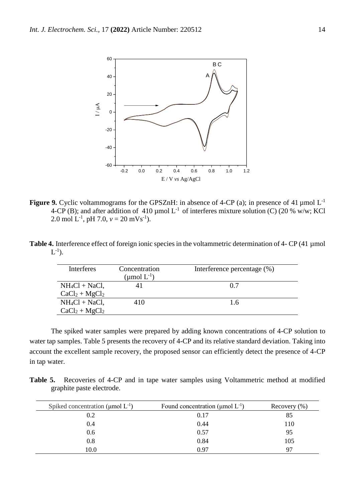

**Figure 9.** Cyclic voltammograms for the GPSZnH: in absence of 4-CP (a); in presence of 41 µmol L<sup>-1</sup> 4-CP (B); and after addition of 410 µmol  $L^{-1}$  of interferes mixture solution (C) (20 % w/w; KCl 2.0 mol L<sup>-1</sup>, pH 7.0,  $v = 20$  mVs<sup>-1</sup>).

Table 4. Interference effect of foreign ionic species in the voltammetric determination of 4- CP (41 µmol  $L^{-1}$ ).

| <b>Interferes</b> | Concentration<br>(µmol $L^{-1}$ ) | Interference percentage (%) |
|-------------------|-----------------------------------|-----------------------------|
| $NH_4Cl + NaCl$ , |                                   | 0.7                         |
| $CaCl2 + MgCl2$   |                                   |                             |
| $NH_4Cl + NaCl$ , | 410                               | 1.6                         |
| $CaCl2 + MgCl2$   |                                   |                             |

The spiked water samples were prepared by adding known concentrations of 4-CP solution to water tap samples. Table 5 presents the recovery of 4-CP and its relative standard deviation. Taking into account the excellent sample recovery, the proposed sensor can efficiently detect the presence of 4-CP in tap water.

Table 5. Recoveries of 4-CP and in tape water samples using Voltammetric method at modified graphite paste electrode.

| Spiked concentration ( $\mu$ mol $L^{-1}$ ) | Found concentration ( $\mu$ mol $L^{-1}$ ) | Recovery $(\% )$ |
|---------------------------------------------|--------------------------------------------|------------------|
| 0.2                                         | 0.17                                       | 85               |
| 0.4                                         | 0.44                                       | 110              |
| 0.6                                         | 0.57                                       | 95               |
| 0.8                                         | 0.84                                       | 105              |
| 10.0                                        | 0.97                                       | 97               |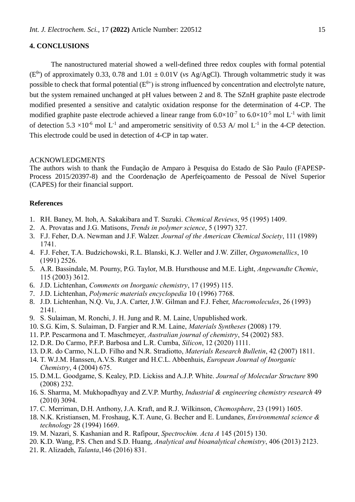# **4. CONCLUSIONS**

The nanostructured material showed a well-defined three redox couples with formal potential  $(E^{\theta})$  of approximately 0.33, 0.78 and 1.01  $\pm$  0.01V (*vs Ag/AgCl*). Through voltammetric study it was possible to check that formal potential  $(E^{\theta})$  is strong influenced by concentration and electrolyte nature, but the system remained unchanged at pH values between 2 and 8. The SZnH graphite paste electrode modified presented a sensitive and catalytic oxidation response for the determination of 4-CP. The modified graphite paste electrode achieved a linear range from  $6.0 \times 10^{-7}$  to  $6.0 \times 10^{-5}$  mol L<sup>-1</sup> with limit of detection  $5.3 \times 10^{-6}$  mol L<sup>-1</sup> and amperometric sensitivity of 0.53 A/ mol L<sup>-1</sup> in the 4-CP detection. This electrode could be used in detection of 4-CP in tap water.

#### ACKNOWLEDGMENTS

The authors wish to thank the Fundação de Amparo à Pesquisa do Estado de São Paulo (FAPESP-Process 2015/20397-8) and the Coordenação de Aperfeiçoamento de Pessoal de Nível Superior (CAPES) for their financial support.

#### **References**

- 1. RH. Baney, M. Itoh, A. Sakakibara and T. Suzuki. *Chemical Reviews*, 95 (1995) 1409.
- 2. A. Provatas and J.G. Matisons, *Trends in polymer science*, 5 (1997) 327.
- 3. F.J. Feher, D.A. Newman and J.F. Walzer. *Journal of the American Chemical Society*, 111 (1989) 1741.
- 4. F.J. Feher, T.A. Budzichowski, R.L. Blanski, K.J. Weller and J.W. Ziller, *Organometallics*, 10 (1991) 2526.
- 5. A.R. Bassindale, M. Pourny, P.G. [Taylor,](https://academictree.org/chemistry/publications.php?pid=569502) M.B. [Hursthouse](https://academictree.org/chemistry/publications.php?pid=100239) and M.E. Light, *Angewandte Chemie*, 115 (2003) 3612.
- 6. J.D. Lichtenhan, *Comments on Inorganic chemistry*, 17 (1995) 115.
- 7. J.D. Lichtenhan, *Polymeric materials encyclopedia* 10 (1996) 7768.
- 8. J.D. Lichtenhan, N.Q. Vu, J.A. Carter, J.W. Gilman and F.J. Feher, *Macromolecules*, 26 (1993) 2141.
- 9. S. Sulaiman, M. Ronchi, J. H. Jung and R. M. Laine, Unpublished work.
- 10. S.G. Kim, S. Sulaiman, D. Fargier and R.M. Laine, *Materials Syntheses* (2008) 179.
- 11. P.P. Pescarmona and T. Maschmeyer, *Australian journal of chemistry*, 54 (2002) 583.
- 12. D.R. Do Carmo, P.F.P. Barbosa and L.R. Cumba, *Silicon*, 12 (2020) 1111.
- 13. D.R. do Carmo, N.L.D. Filho and N.R. Stradiotto, *Materials Research Bulletin*, 42 (2007) 1811.
- 14. T. W.J.M. Hanssen, A.V.S. Rutger and H.C.L. Abbenhuis, *European Journal of Inorganic Chemistry*, 4 (2004) 675.
- 15. D.M.L. Goodgame, S. Kealey, P.D. Lickiss and A.J.P. White. *Journal of Molecular Structure* 890 (2008) 232.
- 16. S. Sharma, M. Mukhopadhyay and Z.V.P. Murthy, *Industrial & engineering chemistry research* 49 (2010) 3094.
- 17. C. Merriman, D.H. Anthony, J.A. Kraft, and R.J. Wilkinson, *Chemosphere*, 23 (1991) 1605.
- 18. N.K. Kristiansen, M. Froshaug, K.T. Aune, G. Becher and E. Lundanes, *Environmental science & technology* 28 (1994) 1669.
- 19. M. Nazari, S. Kashanian and R. Rafipour, *Spectrochim. Acta A* 145 (2015) 130.
- 20. K.D. Wang, P.S. Chen and S.D. Huang, *Analytical and bioanalytical chemistry*, 406 (2013) 2123.
- 21. R. Alizadeh, *Talanta*,146 (2016) 831.